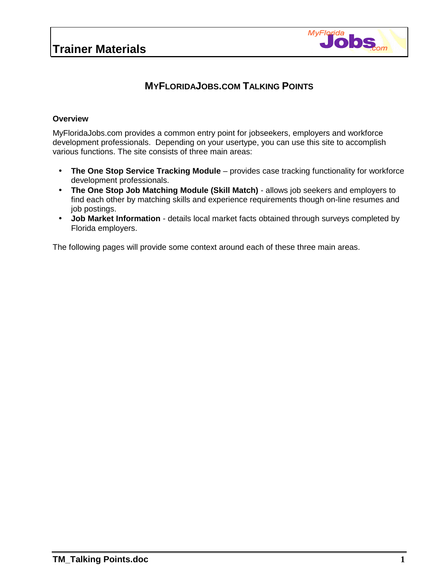

## **MYFLORIDAJOBS.COM TALKING POINTS**

#### **Overview**

MyFloridaJobs.com provides a common entry point for jobseekers, employers and workforce development professionals. Depending on your usertype, you can use this site to accomplish various functions. The site consists of three main areas:

- **The One Stop Service Tracking Module** provides case tracking functionality for workforce development professionals.
- **The One Stop Job Matching Module (Skill Match)** allows job seekers and employers to find each other by matching skills and experience requirements though on-line resumes and job postings.
- **Job Market Information**  details local market facts obtained through surveys completed by Florida employers.

The following pages will provide some context around each of these three main areas.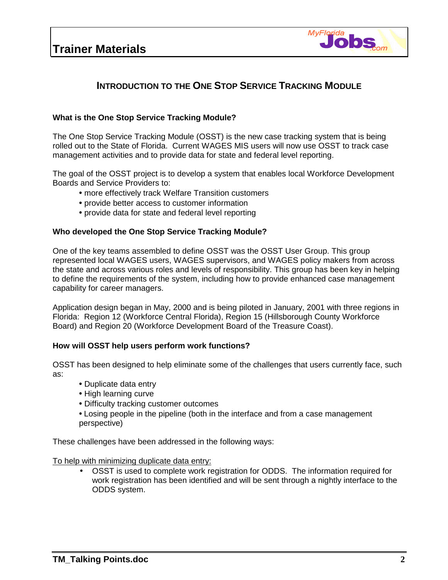## **Trainer Materials**



## **INTRODUCTION TO THE ONE STOP SERVICE TRACKING MODULE**

#### **What is the One Stop Service Tracking Module?**

The One Stop Service Tracking Module (OSST) is the new case tracking system that is being rolled out to the State of Florida. Current WAGES MIS users will now use OSST to track case management activities and to provide data for state and federal level reporting.

The goal of the OSST project is to develop a system that enables local Workforce Development Boards and Service Providers to:

- more effectively track Welfare Transition customers
- •provide better access to customer information
- •provide data for state and federal level reporting

#### **Who developed the One Stop Service Tracking Module?**

One of the key teams assembled to define OSST was the OSST User Group. This group represented local WAGES users, WAGES supervisors, and WAGES policy makers from across the state and across various roles and levels of responsibility. This group has been key in helping to define the requirements of the system, including how to provide enhanced case management capability for career managers.

Application design began in May, 2000 and is being piloted in January, 2001 with three regions in Florida: Region 12 (Workforce Central Florida), Region 15 (Hillsborough County Workforce Board) and Region 20 (Workforce Development Board of the Treasure Coast).

#### **How will OSST help users perform work functions?**

OSST has been designed to help eliminate some of the challenges that users currently face, such as:

- •Duplicate data entry
- •High learning curve
- •Difficulty tracking customer outcomes
- Losing people in the pipeline (both in the interface and from a case management perspective)

These challenges have been addressed in the following ways:

To help with minimizing duplicate data entry:

• OSST is used to complete work registration for ODDS. The information required for work registration has been identified and will be sent through a nightly interface to the ODDS system.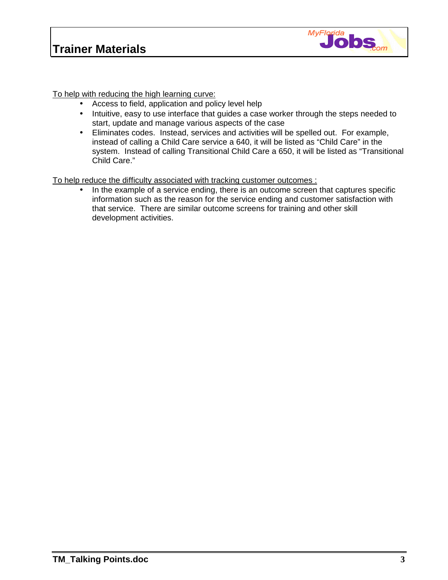

To help with reducing the high learning curve:

- Access to field, application and policy level help
- Intuitive, easy to use interface that guides a case worker through the steps needed to start, update and manage various aspects of the case
- Eliminates codes. Instead, services and activities will be spelled out. For example, instead of calling a Child Care service a 640, it will be listed as "Child Care" in the system. Instead of calling Transitional Child Care a 650, it will be listed as "Transitional Child Care."

To help reduce the difficulty associated with tracking customer outcomes :

• In the example of a service ending, there is an outcome screen that captures specific information such as the reason for the service ending and customer satisfaction with that service. There are similar outcome screens for training and other skill development activities.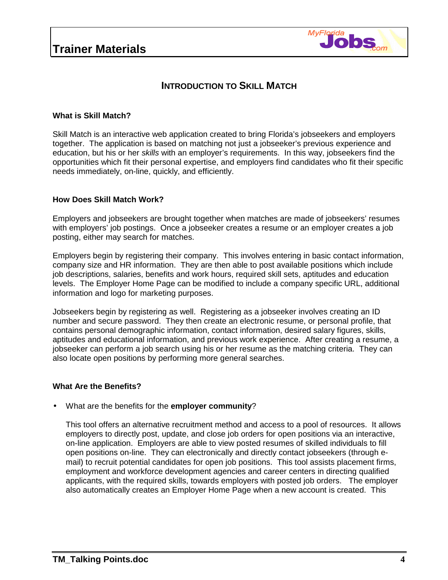

## **INTRODUCTION TO SKILL MATCH**

#### **What is Skill Match?**

Skill Match is an interactive web application created to bring Florida's jobseekers and employers together. The application is based on matching not just a jobseeker's previous experience and education, but his or her *skills* with an employer's requirements. In this way, jobseekers find the opportunities which fit their personal expertise, and employers find candidates who fit their specific needs immediately, on-line, quickly, and efficiently.

### **How Does Skill Match Work?**

Employers and jobseekers are brought together when matches are made of jobseekers' resumes with employers' job postings. Once a jobseeker creates a resume or an employer creates a job posting, either may search for matches.

Employers begin by registering their company. This involves entering in basic contact information, company size and HR information. They are then able to post available positions which include job descriptions, salaries, benefits and work hours, required skill sets, aptitudes and education levels. The Employer Home Page can be modified to include a company specific URL, additional information and logo for marketing purposes.

Jobseekers begin by registering as well. Registering as a jobseeker involves creating an ID number and secure password. They then create an electronic resume, or personal profile, that contains personal demographic information, contact information, desired salary figures, skills, aptitudes and educational information, and previous work experience. After creating a resume, a jobseeker can perform a job search using his or her resume as the matching criteria. They can also locate open positions by performing more general searches.

#### **What Are the Benefits?**

• What are the benefits for the **employer community**?

This tool offers an alternative recruitment method and access to a pool of resources. It allows employers to directly post, update, and close job orders for open positions via an interactive, on-line application. Employers are able to view posted resumes of skilled individuals to fill open positions on-line. They can electronically and directly contact jobseekers (through email) to recruit potential candidates for open job positions. This tool assists placement firms, employment and workforce development agencies and career centers in directing qualified applicants, with the required skills, towards employers with posted job orders. The employer also automatically creates an Employer Home Page when a new account is created. This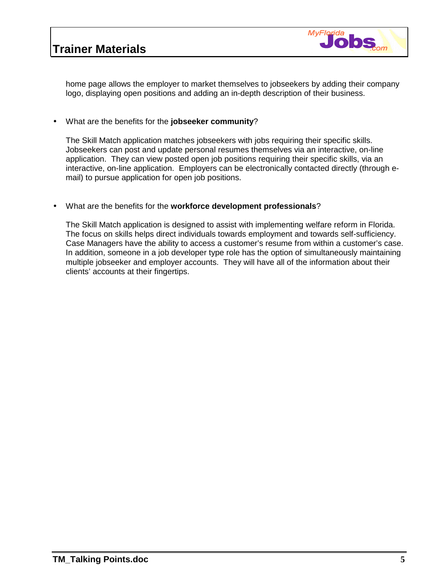# **Trainer Materials**



home page allows the employer to market themselves to jobseekers by adding their company logo, displaying open positions and adding an in-depth description of their business.

#### • What are the benefits for the **jobseeker community**?

The Skill Match application matches jobseekers with jobs requiring their specific skills. Jobseekers can post and update personal resumes themselves via an interactive, on-line application. They can view posted open job positions requiring their specific skills, via an interactive, on-line application. Employers can be electronically contacted directly (through email) to pursue application for open job positions.

#### • What are the benefits for the **workforce development professionals**?

The Skill Match application is designed to assist with implementing welfare reform in Florida. The focus on skills helps direct individuals towards employment and towards self-sufficiency. Case Managers have the ability to access a customer's resume from within a customer's case. In addition, someone in a job developer type role has the option of simultaneously maintaining multiple jobseeker and employer accounts. They will have all of the information about their clients' accounts at their fingertips.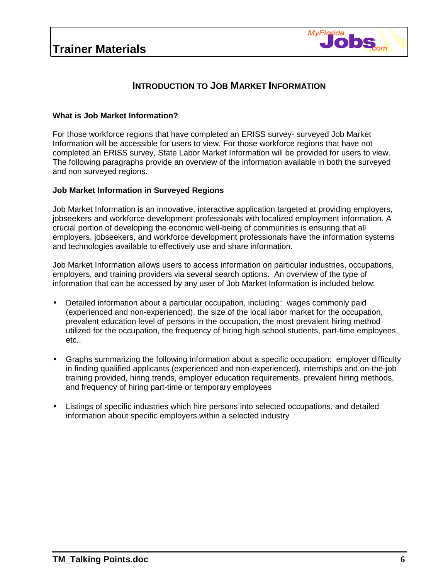

### **INTRODUCTION TO JOB MARKET INFORMATION**

#### **What is Job Market Information?**

For those workforce regions that have completed an ERISS survey- surveyed Job Market Information will be accessible for users to view. For those workforce regions that have not completed an ERISS survey, State Labor Market Information will be provided for users to view. The following paragraphs provide an overview of the information available in both the surveyed and non surveyed regions.

#### **Job Market Information in Surveyed Regions**

Job Market Information is an innovative, interactive application targeted at providing employers, jobseekers and workforce development professionals with localized employment information. A crucial portion of developing the economic well-being of communities is ensuring that all employers, jobseekers, and workforce development professionals have the information systems and technologies available to effectively use and share information.

Job Market Information allows users to access information on particular industries, occupations, employers, and training providers via several search options. An overview of the type of information that can be accessed by any user of Job Market Information is included below:

- Detailed information about a particular occupation, including: wages commonly paid (experienced and non-experienced), the size of the local labor market for the occupation, prevalent education level of persons in the occupation, the most prevalent hiring method utilized for the occupation, the frequency of hiring high school students, part-time employees, etc..
- Graphs summarizing the following information about a specific occupation: employer difficulty in finding qualified applicants (experienced and non-experienced), internships and on-the-job training provided, hiring trends, employer education requirements, prevalent hiring methods, and frequency of hiring part-time or temporary employees
- Listings of specific industries which hire persons into selected occupations, and detailed information about specific employers within a selected industry